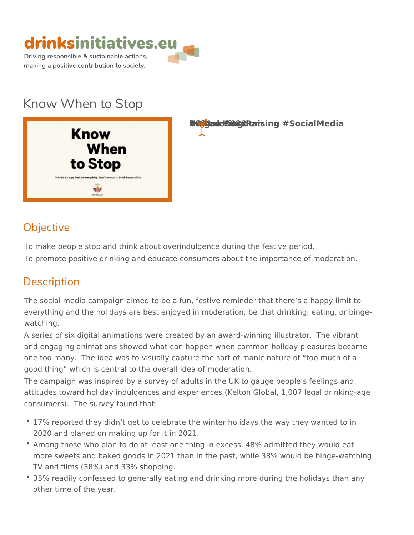

# Know When to Stop

**EDrey Zaudee de br2020-2021 Roamsing #SocialMedia** 

#### Objective

To make people stop and think about overindulgence during the festive per To promote positive drinking and educate consumers about the importance

## Description

The social media campaign aimed to be a fun, festive reminder that there s everything and the holidays are best enjoyed in moderation, be that drinki watching.

A series of six digital animations were created by an award-winning illustr and engaging animations showed what can happen when common holiday pl one too many. The idea was to visually capture the sort of manic nature o good thing which is central to the overall idea of moderation.

The campaign was inspired by a survey of adults in the UK to gauge people attitudes toward holiday indulgences and experiences (Kelton Global, 1,00 consumers). The survey found that:

- 17% reported they didn t get to celebrate the winter holidays the way the 2020 and planed on making up for it in 2021.
- \* Among those who plan to do at least one thing in excess, 48% admitted t more sweets and baked goods in 2021 than in the past, while 38% would TV and films (38%) and 33% shopping.
- 35% readily confessed to generally eating and drinking more during the h other time of the year.